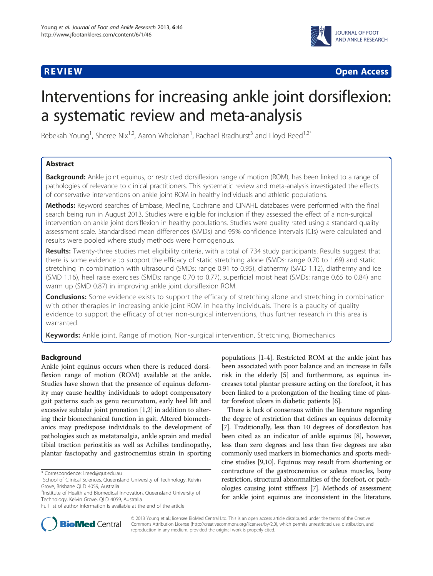

**REVIEW CONSTRUCTION CONSTRUCTION CONSTRUCTS** 

# Interventions for increasing ankle joint dorsiflexion: a systematic review and meta-analysis

Rebekah Young<sup>1</sup>, Sheree Nix<sup>1,2</sup>, Aaron Wholohan<sup>1</sup>, Rachael Bradhurst<sup>3</sup> and Lloyd Reed<sup>1,2\*</sup>

# Abstract

Background: Ankle joint equinus, or restricted dorsiflexion range of motion (ROM), has been linked to a range of pathologies of relevance to clinical practitioners. This systematic review and meta-analysis investigated the effects of conservative interventions on ankle joint ROM in healthy individuals and athletic populations.

Methods: Keyword searches of Embase, Medline, Cochrane and CINAHL databases were performed with the final search being run in August 2013. Studies were eligible for inclusion if they assessed the effect of a non-surgical intervention on ankle joint dorsiflexion in healthy populations. Studies were quality rated using a standard quality assessment scale. Standardised mean differences (SMDs) and 95% confidence intervals (CIs) were calculated and results were pooled where study methods were homogenous.

Results: Twenty-three studies met eligibility criteria, with a total of 734 study participants. Results suggest that there is some evidence to support the efficacy of static stretching alone (SMDs: range 0.70 to 1.69) and static stretching in combination with ultrasound (SMDs: range 0.91 to 0.95), diathermy (SMD 1.12), diathermy and ice (SMD 1.16), heel raise exercises (SMDs: range 0.70 to 0.77), superficial moist heat (SMDs: range 0.65 to 0.84) and warm up (SMD 0.87) in improving ankle joint dorsiflexion ROM.

**Conclusions:** Some evidence exists to support the efficacy of stretching alone and stretching in combination with other therapies in increasing ankle joint ROM in healthy individuals. There is a paucity of quality evidence to support the efficacy of other non-surgical interventions, thus further research in this area is warranted.

Keywords: Ankle joint, Range of motion, Non-surgical intervention, Stretching, Biomechanics

# Background

Ankle joint equinus occurs when there is reduced dorsiflexion range of motion (ROM) available at the ankle. Studies have shown that the presence of equinus deformity may cause healthy individuals to adopt compensatory gait patterns such as genu recurvatum, early heel lift and excessive subtalar joint pronation [[1,2](#page-9-0)] in addition to altering their biomechanical function in gait. Altered biomechanics may predispose individuals to the development of pathologies such as metatarsalgia, ankle sprain and medial tibial traction periostitis as well as Achilles tendinopathy, plantar fasciopathy and gastrocnemius strain in sporting

populations [\[1](#page-9-0)-[4\]](#page-9-0). Restricted ROM at the ankle joint has been associated with poor balance and an increase in falls risk in the elderly [\[5](#page-9-0)] and furthermore, as equinus increases total plantar pressure acting on the forefoot, it has been linked to a prolongation of the healing time of plantar forefoot ulcers in diabetic patients [\[6](#page-9-0)].

There is lack of consensus within the literature regarding the degree of restriction that defines an equinus deformity [[7](#page-9-0)]. Traditionally, less than 10 degrees of dorsiflexion has been cited as an indicator of ankle equinus [\[8\]](#page-9-0), however, less than zero degrees and less than five degrees are also commonly used markers in biomechanics and sports medicine studies [[9,10\]](#page-9-0). Equinus may result from shortening or contracture of the gastrocnemius or soleus muscles, bony restriction, structural abnormalities of the forefoot, or pathologies causing joint stiffness [\[7\]](#page-9-0). Methods of assessment for ankle joint equinus are inconsistent in the literature.



© 2013 Young et al.; licensee BioMed Central Ltd. This is an open access article distributed under the terms of the Creative Commons Attribution License [\(http://creativecommons.org/licenses/by/2.0\)](http://creativecommons.org/licenses/by/2.0), which permits unrestricted use, distribution, and reproduction in any medium, provided the original work is properly cited.

<sup>\*</sup> Correspondence: [l.reed@qut.edu.au](mailto:l.reed@qut.edu.au) <sup>1</sup>

<sup>&</sup>lt;sup>1</sup> School of Clinical Sciences, Queensland University of Technology, Kelvin Grove, Brisbane QLD 4059, Australia

<sup>&</sup>lt;sup>2</sup>Institute of Health and Biomedical Innovation, Queensland University of Technology, Kelvin Grove, QLD 4059, Australia

Full list of author information is available at the end of the article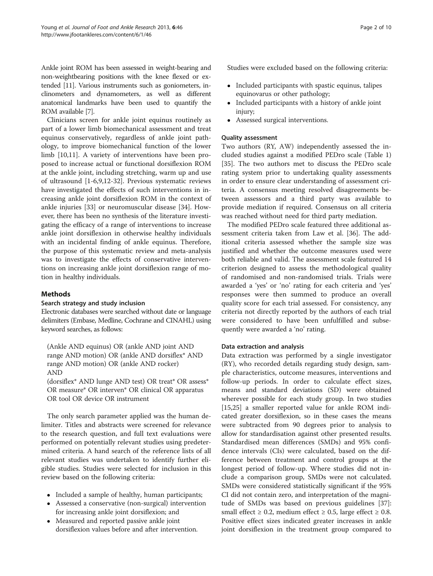Ankle joint ROM has been assessed in weight-bearing and non-weightbearing positions with the knee flexed or extended [\[11](#page-9-0)]. Various instruments such as goniometers, inclinometers and dynamometers, as well as different anatomical landmarks have been used to quantify the ROM available [\[7](#page-9-0)].

Clinicians screen for ankle joint equinus routinely as part of a lower limb biomechanical assessment and treat equinus conservatively, regardless of ankle joint pathology, to improve biomechanical function of the lower limb [[10](#page-9-0),[11](#page-9-0)]. A variety of interventions have been proposed to increase actual or functional dorsiflexion ROM at the ankle joint, including stretching, warm up and use of ultrasound [[1-6,9](#page-9-0),[12](#page-9-0)-[32\]](#page-9-0). Previous systematic reviews have investigated the effects of such interventions in increasing ankle joint dorsiflexion ROM in the context of ankle injuries [[33\]](#page-9-0) or neuromuscular disease [[34](#page-9-0)]. However, there has been no synthesis of the literature investigating the efficacy of a range of interventions to increase ankle joint dorsiflexion in otherwise healthy individuals with an incidental finding of ankle equinus. Therefore, the purpose of this systematic review and meta-analysis was to investigate the effects of conservative interventions on increasing ankle joint dorsiflexion range of motion in healthy individuals.

# Methods

# Search strategy and study inclusion

Electronic databases were searched without date or language delimiters (Embase, Medline, Cochrane and CINAHL) using keyword searches, as follows:

(Ankle AND equinus) OR (ankle AND joint AND range AND motion) OR (ankle AND dorsiflex\* AND range AND motion) OR (ankle AND rocker) AND

(dorsiflex\* AND lunge AND test) OR treat\* OR assess\* OR measure\* OR interven\* OR clinical OR apparatus OR tool OR device OR instrument

The only search parameter applied was the human delimiter. Titles and abstracts were screened for relevance to the research question, and full text evaluations were performed on potentially relevant studies using predetermined criteria. A hand search of the reference lists of all relevant studies was undertaken to identify further eligible studies. Studies were selected for inclusion in this review based on the following criteria:

- Included a sample of healthy, human participants;
- Assessed a conservative (non-surgical) intervention for increasing ankle joint dorsiflexion; and
- Measured and reported passive ankle joint dorsiflexion values before and after intervention.

Studies were excluded based on the following criteria:

- Included participants with spastic equinus, talipes equinovarus or other pathology;
- Included participants with a history of ankle joint injury;
- Assessed surgical interventions.

# Quality assessment

Two authors (RY, AW) independently assessed the included studies against a modified PEDro scale (Table [1](#page-2-0)) [[35\]](#page-9-0). The two authors met to discuss the PEDro scale rating system prior to undertaking quality assessments in order to ensure clear understanding of assessment criteria. A consensus meeting resolved disagreements between assessors and a third party was available to provide mediation if required. Consensus on all criteria was reached without need for third party mediation.

The modified PEDro scale featured three additional assessment criteria taken from Law et al. [\[36\]](#page-9-0). The additional criteria assessed whether the sample size was justified and whether the outcome measures used were both reliable and valid. The assessment scale featured 14 criterion designed to assess the methodological quality of randomised and non-randomised trials. Trials were awarded a 'yes' or 'no' rating for each criteria and 'yes' responses were then summed to produce an overall quality score for each trial assessed. For consistency, any criteria not directly reported by the authors of each trial were considered to have been unfulfilled and subsequently were awarded a 'no' rating.

# Data extraction and analysis

Data extraction was performed by a single investigator (RY), who recorded details regarding study design, sample characteristics, outcome measures, interventions and follow-up periods. In order to calculate effect sizes, means and standard deviations (SD) were obtained wherever possible for each study group. In two studies [[15,25\]](#page-9-0) a smaller reported value for ankle ROM indicated greater dorsiflexion, so in these cases the means were subtracted from 90 degrees prior to analysis to allow for standardisation against other presented results. Standardised mean differences (SMDs) and 95% confidence intervals (CIs) were calculated, based on the difference between treatment and control groups at the longest period of follow-up. Where studies did not include a comparison group, SMDs were not calculated. SMDs were considered statistically significant if the 95% CI did not contain zero, and interpretation of the magnitude of SMDs was based on previous guidelines [\[37](#page-9-0)]: small effect  $\geq 0.2$ , medium effect  $\geq 0.5$ , large effect  $\geq 0.8$ . Positive effect sizes indicated greater increases in ankle joint dorsiflexion in the treatment group compared to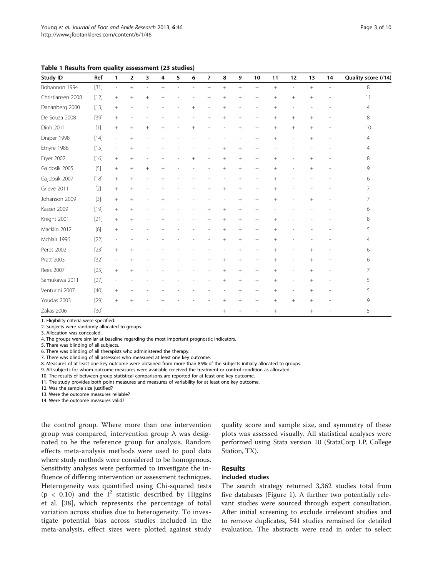<span id="page-2-0"></span>

|  |  |  |  |  | Table 1 Results from quality assessment (23 studies) |  |  |
|--|--|--|--|--|------------------------------------------------------|--|--|
|--|--|--|--|--|------------------------------------------------------|--|--|

| Study ID          | Ref    | $\mathbf{1}$             | $\overline{\mathbf{2}}$ | 3      | 4      | 5 | 6      | $\overline{7}$ | 8               | 9               | 10              | 11              | 12                       | 13     | 14 | Quality score (/14) |
|-------------------|--------|--------------------------|-------------------------|--------|--------|---|--------|----------------|-----------------|-----------------|-----------------|-----------------|--------------------------|--------|----|---------------------|
| Bohannon 1994     | $[31]$ | $\overline{\phantom{a}}$ | $^{+}$                  |        | $^{+}$ |   | ÷,     | $^{+}$         | $+$             |                 | $^{+}$          |                 |                          | $^{+}$ | ٠  | 8                   |
| Christiansen 2008 | $[12]$ | $^{+}$                   | $^{+}$                  | $^{+}$ | $^{+}$ |   |        | $+$            | $+$             | $^{+}$          | $^{+}$          | $+$             | $+$                      | $+$    |    | 11                  |
| Dananberg 2000    | $[13]$ | $^{+}$                   |                         |        |        |   | $^{+}$ |                | $+$             |                 |                 | $^{+}$          |                          |        |    | $\overline{4}$      |
| De Souza 2008     | $[39]$ | $^{+}$                   |                         |        |        |   |        | $+$            | $+$             | $\! + \!\!\!\!$ | $^{+}$          | $^{+}$          | $^{+}$                   | $+$    |    | 8                   |
| Dinh 2011         | $[1]$  | $+$                      | $^{+}$                  |        | $^{+}$ |   | $^{+}$ |                |                 |                 | $\! + \!\!\!\!$ | $\! + \!\!\!\!$ | $+$                      | $^{+}$ |    | 10                  |
| Draper 1998       | $[14]$ | $\overline{\phantom{a}}$ | $^{+}$                  |        |        |   |        |                |                 |                 | $^{+}$          | $\! + \!\!\!\!$ |                          | $^{+}$ |    | 4                   |
| Etnyre 1986       | $[15]$ | $\overline{\phantom{a}}$ | $+$                     |        |        |   |        |                | $^{+}$          | $^{+}$          | $^{+}$          |                 |                          |        |    | 4                   |
| Fryer 2002        | $[16]$ | $^{+}$                   | $^{+}$                  |        |        |   | $^{+}$ |                | $^{+}$          | $^{+}$          | $^{+}$          | $^{+}$          |                          | $^{+}$ |    | 8                   |
| Gajdosik 2005     | $[5]$  | $+$                      | $^{+}$                  | $^{+}$ | $^{+}$ |   |        |                | $\! + \!\!\!\!$ | $^{+}$          | $^{+}$          | $^{+}$          |                          |        |    | 9                   |
| Gajdosik 2007     | $[18]$ | $\! + \!\!\!\!$          | $+$                     |        | $^{+}$ |   |        |                |                 | $^{+}$          | $^{+}$          | $^{+}$          |                          |        |    | 6                   |
| Grieve 2011       | $[2]$  | $+$                      | $^{+}$                  |        |        |   |        | $^{+}$         | $+$             | $\! + \!\!\!\!$ | $^{+}$          | $^{+}$          |                          |        |    | 7                   |
| Johanson 2009     | $[3]$  | $^{+}$                   | $^{+}$                  |        | $+$    |   |        |                |                 | $^{+}$          | $^{+}$          | $^{+}$          |                          | $+$    |    | 7                   |
| Kasser 2009       | $[19]$ | $+$                      | $+$                     |        |        |   |        | $+$            | $+$             | $\! + \!\!\!\!$ | $^{+}$          |                 |                          |        |    | 6                   |
| Knight 2001       | $[21]$ | $+$                      | $+$                     |        |        |   |        | $^{+}$         | $\! + \!\!\!\!$ | $\! + \!\!\!\!$ | $\! + \!\!\!\!$ | $^{+}$          |                          |        |    | 8                   |
| Macklin 2012      | $[6]$  | $^{+}$                   |                         |        |        |   |        |                | $+$             | $\! + \!\!\!\!$ | $^{+}$          | $^{+}$          |                          |        |    | 5                   |
| McNair 1996       | $[22]$ | $\overline{a}$           |                         |        |        |   |        |                | $\! + \!\!\!\!$ | $^{+}$          | $^{+}$          | $^{+}$          |                          |        |    | 4                   |
| Peres 2002        | $[23]$ | $^{+}$                   | $^{+}$                  |        |        |   |        |                |                 | $^{+}$          | $^{+}$          | $+$             |                          | $^{+}$ |    | 6                   |
| Pratt 2003        | $[32]$ | $\overline{\phantom{a}}$ | $^{+}$                  |        |        |   |        |                | $\! + \!\!\!\!$ | $^{+}$          | $^{+}$          | $^{+}$          |                          | $^{+}$ |    | 6                   |
| Rees 2007         | $[25]$ | $+$                      | $+$                     |        |        |   |        |                | $+$             | $^{+}$          | $^{+}$          | $^{+}$          | $\overline{\phantom{a}}$ |        |    | 7                   |
| Samukawa 2011     | [27]   | ÷                        |                         |        |        |   |        |                | $+$             | $^{+}$          | $^{+}$          | $^{+}$          |                          | $+$    |    | 5                   |
| Venturini 2007    | $[40]$ |                          |                         |        |        |   |        |                |                 | $+$             | $^{+}$          | $^{+}$          | $\overline{\phantom{a}}$ | $^{+}$ |    | 5                   |
| Youdas 2003       | $[29]$ | $^{+}$                   | $\overline{+}$          |        | $^{+}$ |   |        |                | $\! + \!\!\!\!$ | $\! + \!\!\!\!$ | $^{+}$          | $^{+}$          | $^{+}$                   | $^{+}$ |    | 9                   |
| Zakas 2006        | $[30]$ |                          |                         |        |        |   |        |                | $+$             | $^{+}$          | $^{+}$          | $^{+}$          |                          | $^{+}$ |    | 5                   |

1. Eligibility criteria were specified.

2. Subjects were randomly allocated to groups.

3. Allocation was concealed.

4. The groups were similar at baseline regarding the most important prognostic indicators.

5. There was blinding of all subjects.

6. There was blinding of all therapists who administered the therapy.

7. There was blinding of all assessors who measured at least one key outcome.

8. Measures of at least one key outcome were obtained from more than 85% of the subjects initially allocated to groups.

9. All subjects for whom outcome measures were available received the treatment or control condition as allocated.

10. The results of between group statistical comparisons are reported for at least one key outcome.

11. The study provides both point measures and measures of variability for at least one key outcome.

12. Was the sample size justified?

13. Were the outcome measures reliable?

14. Were the outcome measures valid?

the control group. Where more than one intervention group was compared, intervention group A was designated to be the reference group for analysis. Random effects meta-analysis methods were used to pool data where study methods were considered to be homogenous. Sensitivity analyses were performed to investigate the influence of differing intervention or assessment techniques. Heterogeneity was quantified using Chi-squared tests (p < 0.10) and the  $I^2$  statistic described by Higgins et al. [[38](#page-9-0)], which represents the percentage of total variation across studies due to heterogeneity. To investigate potential bias across studies included in the meta-analysis, effect sizes were plotted against study quality score and sample size, and symmetry of these plots was assessed visually. All statistical analyses were performed using Stata version 10 (StataCorp LP, College Station, TX).

#### Results

#### Included studies

The search strategy returned 3,362 studies total from five databases (Figure [1\)](#page-3-0). A further two potentially relevant studies were sourced through expert consultation. After initial screening to exclude irrelevant studies and to remove duplicates, 541 studies remained for detailed evaluation. The abstracts were read in order to select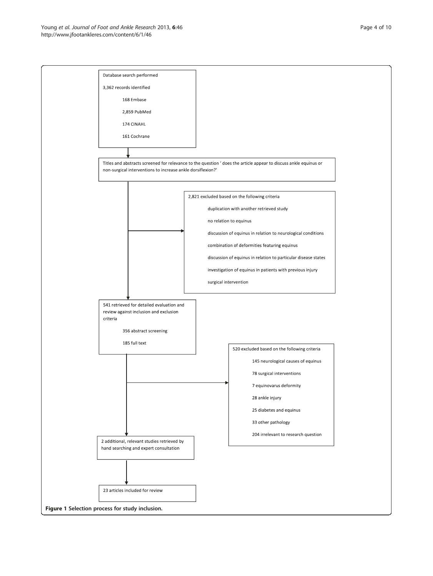<span id="page-3-0"></span>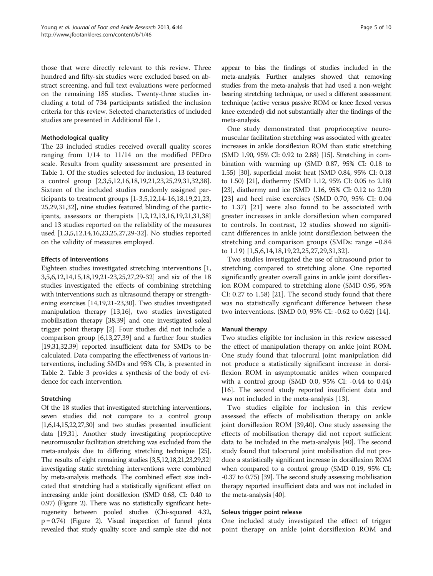those that were directly relevant to this review. Three hundred and fifty-six studies were excluded based on abstract screening, and full text evaluations were performed on the remaining 185 studies. Twenty-three studies including a total of 734 participants satisfied the inclusion criteria for this review. Selected characteristics of included studies are presented in Additional file [1](#page-8-0).

#### Methodological quality

The 23 included studies received overall quality scores ranging from 1/14 to 11/14 on the modified PEDro scale. Results from quality assessment are presented in Table [1.](#page-2-0) Of the studies selected for inclusion, 13 featured a control group [[2,3,5,12,16,18,19](#page-9-0),[21](#page-9-0),[23](#page-9-0),[25](#page-9-0),[29,31,32,38](#page-9-0)]. Sixteen of the included studies randomly assigned participants to treatment groups [[1-3,5,12,14](#page-9-0)-[16,18,19](#page-9-0),[21](#page-9-0),[23](#page-9-0), [25,29](#page-9-0),[31](#page-9-0),[32](#page-9-0)], nine studies featured blinding of the participants, assessors or therapists [[1,2,12,13,16,19](#page-9-0),[21](#page-9-0),[31](#page-9-0),[38](#page-9-0)] and 13 studies reported on the reliability of the measures used [\[1,3,5,12,14,16,23,25,27,29-32](#page-9-0)]. No studies reported on the validity of measures employed.

# Effects of interventions

Eighteen studies investigated stretching interventions [\[1](#page-9-0), [3,5,6,12,14,15,18,19,21-23,25,27,29-32](#page-9-0)] and six of the 18 studies investigated the effects of combining stretching with interventions such as ultrasound therapy or strengthening exercises [\[14,19](#page-9-0),[21](#page-9-0)-[23,30\]](#page-9-0). Two studies investigated manipulation therapy [[13,16\]](#page-9-0), two studies investigated mobilisation therapy [\[38,39\]](#page-9-0) and one investigated soleal trigger point therapy [\[2](#page-9-0)]. Four studies did not include a comparison group [[6,13,27,39\]](#page-9-0) and a further four studies [[19,31,32,39](#page-9-0)] reported insufficient data for SMDs to be calculated. Data comparing the effectiveness of various interventions, including SMDs and 95% CIs, is presented in Table [2](#page-5-0). Table [3](#page-7-0) provides a synthesis of the body of evidence for each intervention.

#### Stretching

Of the 18 studies that investigated stretching interventions, seven studies did not compare to a control group  $[1,6,14,15,22,27,30]$  $[1,6,14,15,22,27,30]$  $[1,6,14,15,22,27,30]$  and two studies presented insufficient data [\[19,31\]](#page-9-0). Another study investigating proprioceptive neuromuscular facilitation stretching was excluded from the meta-analysis due to differing stretching technique [\[25](#page-9-0)]. The results of eight remaining studies [\[3,5,12,18,21,23,29,32](#page-9-0)] investigating static stretching interventions were combined by meta-analysis methods. The combined effect size indicated that stretching had a statistically significant effect on increasing ankle joint dorsiflexion (SMD 0.68, CI: 0.40 to 0.97) (Figure [2\)](#page-7-0). There was no statistically significant heterogeneity between pooled studies (Chi-squared 4.32,  $p = 0.74$ ) (Figure [2\)](#page-7-0). Visual inspection of funnel plots revealed that study quality score and sample size did not appear to bias the findings of studies included in the meta-analysis. Further analyses showed that removing studies from the meta-analysis that had used a non-weight bearing stretching technique, or used a different assessment technique (active versus passive ROM or knee flexed versus knee extended) did not substantially alter the findings of the meta-analysis.

One study demonstrated that proprioceptive neuromuscular facilitation stretching was associated with greater increases in ankle dorsiflexion ROM than static stretching (SMD 1.90, 95% CI: 0.92 to 2.88) [\[15\]](#page-9-0). Stretching in combination with warming up (SMD 0.87, 95% CI: 0.18 to 1.55) [[30](#page-9-0)], superficial moist heat (SMD 0.84, 95% CI: 0.18 to 1.50) [\[21\]](#page-9-0), diathermy (SMD 1.12, 95% CI: 0.05 to 2.18) [[23](#page-9-0)], diathermy and ice (SMD 1.16, 95% CI: 0.12 to 2.20) [[23](#page-9-0)] and heel raise exercises (SMD 0.70, 95% CI: 0.04 to 1.37) [[21\]](#page-9-0) were also found to be associated with greater increases in ankle dorsiflexion when compared to controls. In contrast, 12 studies showed no significant differences in ankle joint dorsiflexion between the stretching and comparison groups (SMDs: range −0.84 to 1.19) [\[1](#page-9-0),[5,6,14](#page-9-0),[18,19](#page-9-0),[22,25,27,29,31](#page-9-0),[32\]](#page-9-0).

Two studies investigated the use of ultrasound prior to stretching compared to stretching alone. One reported significantly greater overall gains in ankle joint dorsiflexion ROM compared to stretching alone (SMD 0.95, 95% CI: 0.27 to 1.58) [[21](#page-9-0)]. The second study found that there was no statistically significant difference between these two interventions. (SMD 0.0, 95% CI: -0.62 to 0.62) [[14](#page-9-0)].

#### Manual therapy

Two studies eligible for inclusion in this review assessed the effect of manipulation therapy on ankle joint ROM. One study found that talocrural joint manipulation did not produce a statistically significant increase in dorsiflexion ROM in asymptomatic ankles when compared with a control group (SMD 0.0, 95% CI: -0.44 to 0.44) [[16\]](#page-9-0). The second study reported insufficient data and was not included in the meta-analysis [\[13](#page-9-0)].

Two studies eligible for inclusion in this review assessed the effects of mobilisation therapy on ankle joint dorsiflexion ROM [\[39,40\]](#page-9-0). One study assessing the effects of mobilisation therapy did not report sufficient data to be included in the meta-analysis [\[40](#page-9-0)]. The second study found that talocrural joint mobilisation did not produce a statistically significant increase in dorsiflexion ROM when compared to a control group (SMD 0.19, 95% CI: -0.37 to 0.75) [\[39](#page-9-0)]. The second study assessing mobilisation therapy reported insufficient data and was not included in the meta-analysis [[40](#page-9-0)].

#### Soleus trigger point release

One included study investigated the effect of trigger point therapy on ankle joint dorsiflexion ROM and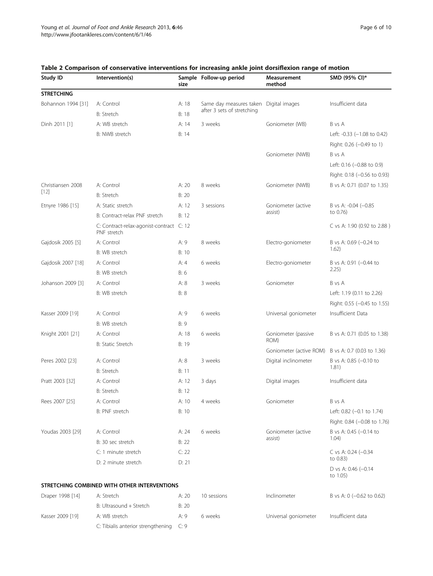| Study ID           | Intervention(s)                                         | size           | Sample Follow-up period                | Measurement<br>method                                                                                                                                                                                                             | SMD (95% CI)*                     |
|--------------------|---------------------------------------------------------|----------------|----------------------------------------|-----------------------------------------------------------------------------------------------------------------------------------------------------------------------------------------------------------------------------------|-----------------------------------|
| <b>STRETCHING</b>  |                                                         |                |                                        |                                                                                                                                                                                                                                   |                                   |
| Bohannon 1994 [31] | A: Control                                              | A: 18          | Same day measures taken Digital images |                                                                                                                                                                                                                                   | Insufficient data                 |
|                    | <b>B: Stretch</b>                                       | B: 18          | after 3 sets of stretching             |                                                                                                                                                                                                                                   |                                   |
| Dinh 2011 [1]      | A: WB stretch                                           | A: 14          | 3 weeks                                | Goniometer (WB)                                                                                                                                                                                                                   | B vs A                            |
|                    | B: NWB stretch                                          | B: 14          |                                        |                                                                                                                                                                                                                                   | Left: -0.33 (-1.08 to 0.42)       |
|                    |                                                         |                |                                        |                                                                                                                                                                                                                                   | Right: 0.26 (-0.49 to 1)          |
|                    |                                                         |                |                                        | Goniometer (NWB)                                                                                                                                                                                                                  | B vs A                            |
|                    |                                                         |                |                                        |                                                                                                                                                                                                                                   | Left: 0.16 (-0.88 to 0.9)         |
|                    |                                                         |                |                                        |                                                                                                                                                                                                                                   | Right: 0.18 (-0.56 to 0.93)       |
| Christiansen 2008  | A: Control                                              | A: 20          | 8 weeks                                | Goniometer (NWB)                                                                                                                                                                                                                  | B vs A: 0.71 (0.07 to 1.35)       |
| $[12]$             | <b>B: Stretch</b>                                       | B: 20          |                                        |                                                                                                                                                                                                                                   |                                   |
| Etnyre 1986 [15]   | A: Static stretch                                       | A: 12          | 3 sessions                             | Goniometer (active                                                                                                                                                                                                                | B vs A: $-0.04$ $(-0.85)$         |
|                    | B: Contract-relax PNF stretch                           | B: 12          |                                        | assist)<br>Electro-goniometer<br>Electro-goniometer<br>Goniometer<br>Universal goniometer<br>Goniometer (passive<br>ROM)<br>Goniometer (active ROM)<br>Digital inclinometer<br>Digital images<br>Goniometer<br>Goniometer (active | to 0.76)                          |
|                    | C: Contract-relax-agonist-contract C: 12<br>PNF stretch |                |                                        |                                                                                                                                                                                                                                   | C vs A: 1.90 (0.92 to 2.88)       |
| Gajdosik 2005 [5]  | A: Control                                              | A: 9           | 8 weeks                                |                                                                                                                                                                                                                                   | B vs A: 0.69 (-0.24 to            |
|                    | B: WB stretch                                           | B: 10          |                                        |                                                                                                                                                                                                                                   | 1.62)                             |
| Gajdosik 2007 [18] | A: Control                                              | A: 4           | 6 weeks                                |                                                                                                                                                                                                                                   | B vs A: 0.91 (-0.44 to            |
|                    | B: WB stretch                                           | B: 6           |                                        |                                                                                                                                                                                                                                   | 2.25)                             |
| Johanson 2009 [3]  | A: Control                                              | A: 8           | 3 weeks                                |                                                                                                                                                                                                                                   | B vs A                            |
|                    | B: WB stretch                                           | <b>B</b> : 8   |                                        |                                                                                                                                                                                                                                   | Left: 1.19 (0.11 to 2.26)         |
|                    |                                                         |                |                                        |                                                                                                                                                                                                                                   | Right: 0.55 (-0.45 to 1.55)       |
| Kasser 2009 [19]   | A: Control                                              | A: 9           | 6 weeks                                |                                                                                                                                                                                                                                   | Insufficient Data                 |
|                    | B: WB stretch                                           | B: 9           |                                        |                                                                                                                                                                                                                                   |                                   |
| Knight 2001 [21]   | A: Control                                              | A: 18          | 6 weeks                                |                                                                                                                                                                                                                                   | B vs A: 0.71 (0.05 to 1.38)       |
|                    | B: Static Stretch                                       | B: 19          |                                        |                                                                                                                                                                                                                                   |                                   |
|                    |                                                         |                |                                        |                                                                                                                                                                                                                                   | B vs A: 0.7 (0.03 to 1.36)        |
| Peres 2002 [23]    | A: Control<br>B: Stretch                                | A: 8           | 3 weeks                                |                                                                                                                                                                                                                                   | B vs A: 0.85 (-0.10 to<br>1.81)   |
| Pratt 2003 [32]    |                                                         | B: 11          |                                        |                                                                                                                                                                                                                                   | Insufficient data                 |
|                    | A: Control                                              | A: 12<br>B: 12 | 3 days                                 |                                                                                                                                                                                                                                   |                                   |
|                    | <b>B: Stretch</b>                                       |                |                                        |                                                                                                                                                                                                                                   |                                   |
| Rees 2007 [25]     | A: Control                                              | A: 10          | 4 weeks                                |                                                                                                                                                                                                                                   | B vs A                            |
|                    | B: PNF stretch                                          | B: 10          |                                        |                                                                                                                                                                                                                                   | Left: 0.82 (-0.1 to 1.74)         |
|                    |                                                         |                |                                        |                                                                                                                                                                                                                                   | Right: 0.84 (-0.08 to 1.76)       |
| Youdas 2003 [29]   | A: Control                                              | A: 24          | 6 weeks                                | assist)                                                                                                                                                                                                                           | B vs A: 0.45 (-0.14 to<br>1.04)   |
|                    | B: 30 sec stretch<br>C: 1 minute stretch                | B: 22<br>C: 22 |                                        |                                                                                                                                                                                                                                   |                                   |
|                    | D: 2 minute stretch                                     | D: 21          |                                        |                                                                                                                                                                                                                                   | C vs A: $0.24$ (-0.34<br>to 0.83) |
|                    |                                                         |                |                                        |                                                                                                                                                                                                                                   | D vs A: 0.46 (-0.14<br>to 1.05)   |
|                    | STRETCHING COMBINED WITH OTHER INTERVENTIONS            |                |                                        |                                                                                                                                                                                                                                   |                                   |
| Draper 1998 [14]   | A: Stretch                                              | A: 20          | 10 sessions                            | Inclinometer                                                                                                                                                                                                                      | B vs A: 0 (-0.62 to 0.62)         |
|                    | B: Ultrasound + Stretch                                 | B: 20          |                                        |                                                                                                                                                                                                                                   |                                   |
| Kasser 2009 [19]   | A: WB stretch                                           | A: 9           | 6 weeks                                | Universal goniometer                                                                                                                                                                                                              | Insufficient data                 |

C: Tibialis anterior strengthening C: 9

# <span id="page-5-0"></span>Table 2 Comparison of conservative interventions for increasing ankle joint dorsiflexion range of motion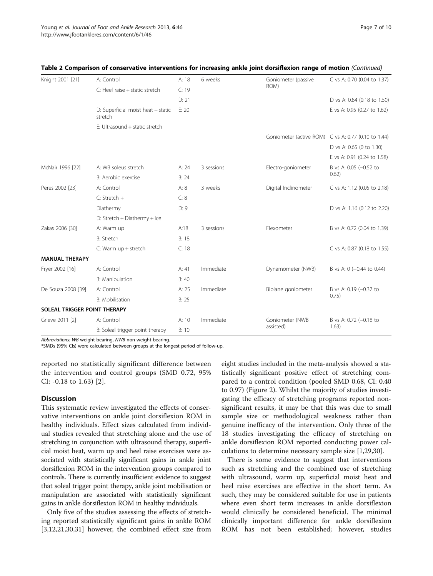|                              | Table 2 Comparison of Conservative interventions for increasing ankie joint uorsmexion range of motion (Commidati |       |            |                         |                                 |
|------------------------------|-------------------------------------------------------------------------------------------------------------------|-------|------------|-------------------------|---------------------------------|
| Knight 2001 [21]             | A: Control                                                                                                        | A: 18 | 6 weeks    | Goniometer (passive     | C vs A: 0.70 (0.04 to 1.37)     |
|                              | C: Heel raise + static stretch                                                                                    | C: 19 |            | ROM)                    |                                 |
|                              |                                                                                                                   | D: 21 |            |                         | D vs A: 0.84 (0.18 to 1.50)     |
|                              | D: Superficial moist heat + static<br>stretch                                                                     | E: 20 |            |                         | E vs A: 0.95 (0.27 to 1.62)     |
|                              | E: Ultrasound + static stretch                                                                                    |       |            |                         |                                 |
|                              |                                                                                                                   |       |            | Goniometer (active ROM) | C vs A: 0.77 (0.10 to 1.44)     |
|                              |                                                                                                                   |       |            |                         | D vs A: 0.65 (0 to 1.30)        |
|                              |                                                                                                                   |       |            |                         | E vs A: 0.91 (0.24 to 1.58)     |
| McNair 1996 [22]             | A: WB soleus stretch                                                                                              | A: 24 | 3 sessions | Electro-goniometer      | B vs A: 0.05 (-0.52 to          |
|                              | B: Aerobic exercise                                                                                               | B: 24 |            |                         | 0.62)                           |
| Peres 2002 [23]              | A: Control                                                                                                        | A: 8  | 3 weeks    | Digital Inclinometer    | C vs A: 1.12 (0.05 to 2.18)     |
|                              | $C:$ Stretch +                                                                                                    | C: 8  |            |                         |                                 |
|                              | Diathermy                                                                                                         | D: 9  |            |                         | D vs A: 1.16 (0.12 to 2.20)     |
|                              | D: Stretch + Diathermy + Ice                                                                                      |       |            |                         |                                 |
| Zakas 2006 [30]              | A: Warm up                                                                                                        | A:18  | 3 sessions | Flexometer              | B vs A: 0.72 (0.04 to 1.39)     |
|                              | B: Stretch                                                                                                        | B: 18 |            |                         |                                 |
|                              | C: Warm up + stretch                                                                                              | C: 18 |            |                         | C vs A: 0.87 (0.18 to 1.55)     |
| <b>MANUAL THERAPY</b>        |                                                                                                                   |       |            |                         |                                 |
| Fryer 2002 [16]              | A: Control                                                                                                        | A: 41 | Immediate  | Dynamometer (NWB)       | B vs A: 0 (-0.44 to 0.44)       |
|                              | B: Manipulation                                                                                                   | B: 40 |            |                         |                                 |
| De Souza 2008 [39]           | A: Control                                                                                                        | A: 25 | Immediate  | Biplane goniometer      | B vs A: 0.19 (-0.37 to          |
|                              | <b>B:</b> Mobilisation                                                                                            | B: 25 |            |                         | 0.75)                           |
| SOLEAL TRIGGER POINT THERAPY |                                                                                                                   |       |            |                         |                                 |
| Grieve 2011 [2]              | A: Control                                                                                                        | A: 10 | Immediate  | Goniometer (NWB         | B vs A: 0.72 (-0.18 to<br>1.63) |
|                              | B: Soleal trigger point therapy                                                                                   | B: 10 |            | assisted)               |                                 |

#### tive interventions for increasing ankle joint dorsiflexion range of motion (Continued)

Abbreviations: WB weight bearing, NWB non-weight bearing.

\*SMDs (95% CIs) were calculated between groups at the longest period of follow-up.

reported no statistically significant difference between the intervention and control groups (SMD 0.72, 95% CI: -0.18 to 1.63) [[2\]](#page-9-0).

#### **Discussion**

This systematic review investigated the effects of conservative interventions on ankle joint dorsiflexion ROM in healthy individuals. Effect sizes calculated from individual studies revealed that stretching alone and the use of stretching in conjunction with ultrasound therapy, superficial moist heat, warm up and heel raise exercises were associated with statistically significant gains in ankle joint dorsiflexion ROM in the intervention groups compared to controls. There is currently insufficient evidence to suggest that soleal trigger point therapy, ankle joint mobilisation or manipulation are associated with statistically significant gains in ankle dorsiflexion ROM in healthy individuals.

Only five of the studies assessing the effects of stretching reported statistically significant gains in ankle ROM [[3,12,21,30,31\]](#page-9-0) however, the combined effect size from

eight studies included in the meta-analysis showed a statistically significant positive effect of stretching compared to a control condition (pooled SMD 0.68, CI: 0.40 to 0.97) (Figure [2\)](#page-7-0). Whilst the majority of studies investigating the efficacy of stretching programs reported nonsignificant results, it may be that this was due to small sample size or methodological weakness rather than genuine inefficacy of the intervention. Only three of the 18 studies investigating the efficacy of stretching on ankle dorsiflexion ROM reported conducting power calculations to determine necessary sample size [\[1,29,30](#page-9-0)].

There is some evidence to suggest that interventions such as stretching and the combined use of stretching with ultrasound, warm up, superficial moist heat and heel raise exercises are effective in the short term. As such, they may be considered suitable for use in patients where even short term increases in ankle dorsiflexion would clinically be considered beneficial. The minimal clinically important difference for ankle dorsiflexion ROM has not been established; however, studies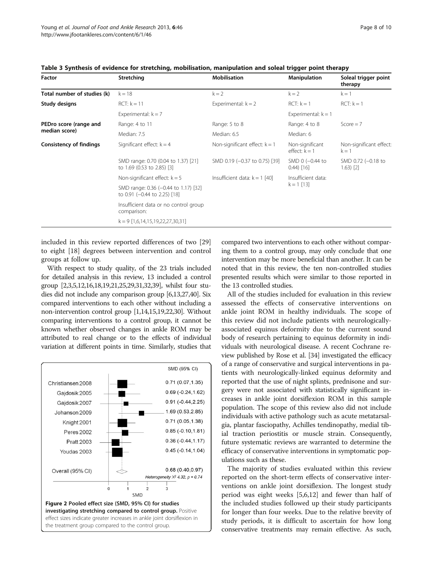<span id="page-7-0"></span>

| Table 3 Synthesis of evidence for stretching, mobilisation, manipulation and soleal trigger point therapy |               |                       |                     |                                 |  |  |  |
|-----------------------------------------------------------------------------------------------------------|---------------|-----------------------|---------------------|---------------------------------|--|--|--|
| Factor                                                                                                    | Stretching    | <b>Mobilisation</b>   | <b>Manipulation</b> | Soleal trigger point<br>therapy |  |  |  |
| Total number of studies (k)                                                                               | $k = 18$      | $k=2$                 | $k=2$               | $k = 1$                         |  |  |  |
| Study designs                                                                                             | $RCT: k = 11$ | Experimental: $k = 2$ | $RCT: k = 1$        | $RCT: k = 1$                    |  |  |  |

Table 3 Synthesis of evidence for st

|                                |                                                                      |                                 |                                    | therapy                           |  |
|--------------------------------|----------------------------------------------------------------------|---------------------------------|------------------------------------|-----------------------------------|--|
| Total number of studies (k)    | $k = 18$                                                             | $k = 2$                         | $k = 2$                            | $k = 1$                           |  |
| Study designs                  | $RCT: k = 11$                                                        | Experimental: $k = 2$           | $RCT: k = 1$                       | $RCT: k = 1$                      |  |
|                                | Experimental: $k = 7$                                                |                                 | Experimental: $k = 1$              |                                   |  |
| PEDro score (range and         | Range: 4 to 11                                                       | Range: 5 to 8                   | Range: 4 to 8                      | $Score = 7$                       |  |
| median score)                  | Median: 7.5                                                          | Median: 6.5                     | Median: 6                          |                                   |  |
| <b>Consistency of findings</b> | Significant effect: $k = 4$                                          | Non-significant effect: $k = 1$ | Non-significant<br>effect: $k = 1$ | Non-significant effect<br>$k = 1$ |  |
|                                | SMD range: 0.70 (0.04 to 1.37) [21]<br>to 1.69 (0.53 to 2.85) [3]    | SMD 0.19 (-0.37 to 0.75) [39]   | SMD 0 (-0.44 to<br>$0.44$ ) [16]   | SMD 0.72 (-0.18 to<br>$1.63)$ [2] |  |
|                                | Non-significant effect: $k = 5$                                      | Insufficient data: $k = 1$ [40] | Insufficient data:                 |                                   |  |
|                                | SMD range: 0.36 (-0.44 to 1.17) [32]<br>to 0.91 (-0.44 to 2.25) [18] |                                 | $k = 1$ [13]                       |                                   |  |
|                                | Insufficient data or no control group<br>comparison:                 |                                 |                                    |                                   |  |
|                                | $k = 9$ [1,6,14,15,19,22,27,30,31]                                   |                                 |                                    |                                   |  |

included in this review reported differences of two [[29](#page-9-0)] to eight [[18\]](#page-9-0) degrees between intervention and control groups at follow up.

With respect to study quality, of the 23 trials included for detailed analysis in this review, 13 included a control group [\[2,3,5,12,16,18,19,21,25,29,31,32,39\]](#page-9-0), whilst four studies did not include any comparison group [\[6,13,27,40\]](#page-9-0). Six compared interventions to each other without including a non-intervention control group [\[1,14,15,19,22,30\]](#page-9-0). Without comparing interventions to a control group, it cannot be known whether observed changes in ankle ROM may be attributed to real change or to the effects of individual variation at different points in time. Similarly, studies that



compared two interventions to each other without comparing them to a control group, may only conclude that one intervention may be more beneficial than another. It can be noted that in this review, the ten non-controlled studies presented results which were similar to those reported in the 13 controlled studies.

All of the studies included for evaluation in this review assessed the effects of conservative interventions on ankle joint ROM in healthy individuals. The scope of this review did not include patients with neurologicallyassociated equinus deformity due to the current sound body of research pertaining to equinus deformity in individuals with neurological disease. A recent Cochrane review published by Rose et al. [\[34\]](#page-9-0) investigated the efficacy of a range of conservative and surgical interventions in patients with neurologically-linked equinus deformity and reported that the use of night splints, prednisone and surgery were not associated with statistically significant increases in ankle joint dorsiflexion ROM in this sample population. The scope of this review also did not include individuals with active pathology such as acute metatarsalgia, plantar fasciopathy, Achilles tendinopathy, medial tibial traction periostitis or muscle strain. Consequently, future systematic reviews are warranted to determine the efficacy of conservative interventions in symptomatic populations such as these.

The majority of studies evaluated within this review reported on the short-term effects of conservative interventions on ankle joint dorsiflexion. The longest study period was eight weeks [\[5,6,12](#page-9-0)] and fewer than half of the included studies followed up their study participants for longer than four weeks. Due to the relative brevity of study periods, it is difficult to ascertain for how long conservative treatments may remain effective. As such,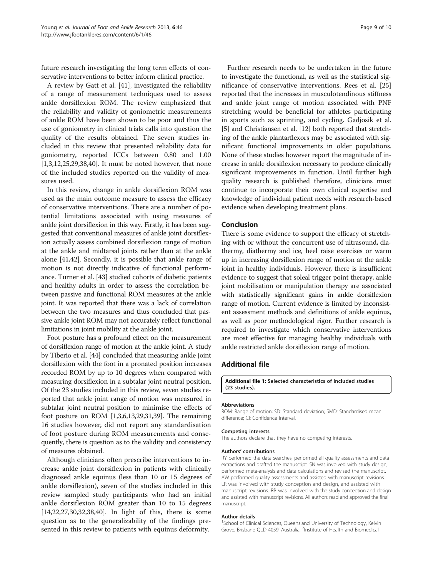<span id="page-8-0"></span>future research investigating the long term effects of conservative interventions to better inform clinical practice.

A review by Gatt et al. [\[41\]](#page-9-0), investigated the reliability of a range of measurement techniques used to assess ankle dorsiflexion ROM. The review emphasized that the reliability and validity of goniometric measurements of ankle ROM have been shown to be poor and thus the use of goniometry in clinical trials calls into question the quality of the results obtained. The seven studies included in this review that presented reliability data for goniometry, reported ICCs between 0.80 and 1.00 [[1,3,12,25,29,38,40\]](#page-9-0). It must be noted however, that none of the included studies reported on the validity of measures used.

In this review, change in ankle dorsiflexion ROM was used as the main outcome measure to assess the efficacy of conservative interventions. There are a number of potential limitations associated with using measures of ankle joint dorsiflexion in this way. Firstly, it has been suggested that conventional measures of ankle joint dorsiflexion actually assess combined dorsiflexion range of motion at the ankle and midtarsal joints rather than at the ankle alone [\[41,42](#page-9-0)]. Secondly, it is possible that ankle range of motion is not directly indicative of functional performance. Turner et al. [\[43\]](#page-9-0) studied cohorts of diabetic patients and healthy adults in order to assess the correlation between passive and functional ROM measures at the ankle joint. It was reported that there was a lack of correlation between the two measures and thus concluded that passive ankle joint ROM may not accurately reflect functional limitations in joint mobility at the ankle joint.

Foot posture has a profound effect on the measurement of dorsiflexion range of motion at the ankle joint. A study by Tiberio et al. [[44](#page-9-0)] concluded that measuring ankle joint dorsiflexion with the foot in a pronated position increases recorded ROM by up to 10 degrees when compared with measuring dorsiflexion in a subtalar joint neutral position. Of the 23 studies included in this review, seven studies reported that ankle joint range of motion was measured in subtalar joint neutral position to minimise the effects of foot posture on ROM [\[1,3,6,13](#page-9-0),[29,31,39\]](#page-9-0). The remaining 16 studies however, did not report any standardisation of foot posture during ROM measurements and consequently, there is question as to the validity and consistency of measures obtained.

Although clinicians often prescribe interventions to increase ankle joint dorsiflexion in patients with clinically diagnosed ankle equinus (less than 10 or 15 degrees of ankle dorsiflexion), seven of the studies included in this review sampled study participants who had an initial ankle dorsiflexion ROM greater than 10 to 15 degrees [[14,22,27,30,32,38](#page-9-0),[40](#page-9-0)]. In light of this, there is some question as to the generalizability of the findings presented in this review to patients with equinus deformity.

Further research needs to be undertaken in the future to investigate the functional, as well as the statistical significance of conservative interventions. Rees et al. [[25](#page-9-0)] reported that the increases in musculotendinous stiffness and ankle joint range of motion associated with PNF stretching would be beneficial for athletes participating in sports such as sprinting, and cycling. Gadjosik et al. [[5\]](#page-9-0) and Christiansen et al. [[12](#page-9-0)] both reported that stretching of the ankle plantarflexors may be associated with significant functional improvements in older populations. None of these studies however report the magnitude of increase in ankle dorsiflexion necessary to produce clinically significant improvements in function. Until further high quality research is published therefore, clinicians must continue to incorporate their own clinical expertise and knowledge of individual patient needs with research-based evidence when developing treatment plans.

#### Conclusion

There is some evidence to support the efficacy of stretching with or without the concurrent use of ultrasound, diathermy, diathermy and ice, heel raise exercises or warm up in increasing dorsiflexion range of motion at the ankle joint in healthy individuals. However, there is insufficient evidence to suggest that soleal trigger point therapy, ankle joint mobilisation or manipulation therapy are associated with statistically significant gains in ankle dorsiflexion range of motion. Current evidence is limited by inconsistent assessment methods and definitions of ankle equinus, as well as poor methodological rigor. Further research is required to investigate which conservative interventions are most effective for managing healthy individuals with ankle restricted ankle dorsiflexion range of motion.

### Additional file

[Additional file 1:](http://www.biomedcentral.com/content/supplementary/1757-1146-6-46-S1.docx) Selected characteristics of included studies (23 studies).

#### Abbreviations

ROM: Range of motion; SD: Standard deviation; SMD: Standardised mean difference; CI: Confidence interval.

#### Competing interests

The authors declare that they have no competing interests.

#### Authors' contributions

RY performed the data searches, performed all quality assessments and data extractions and drafted the manuscript. SN was involved with study design, performed meta-analysis and data calculations and revised the manuscript. AW performed quality assessments and assisted with manuscript revisions. LR was involved with study conception and design, and assisted with manuscript revisions. RB was involved with the study conception and design and assisted with manuscript revisions. All authors read and approved the final manuscript.

#### Author details

<sup>1</sup>School of Clinical Sciences, Queensland University of Technology, Kelvin Grove, Brisbane QLD 4059, Australia. <sup>2</sup>Institute of Health and Biomedical